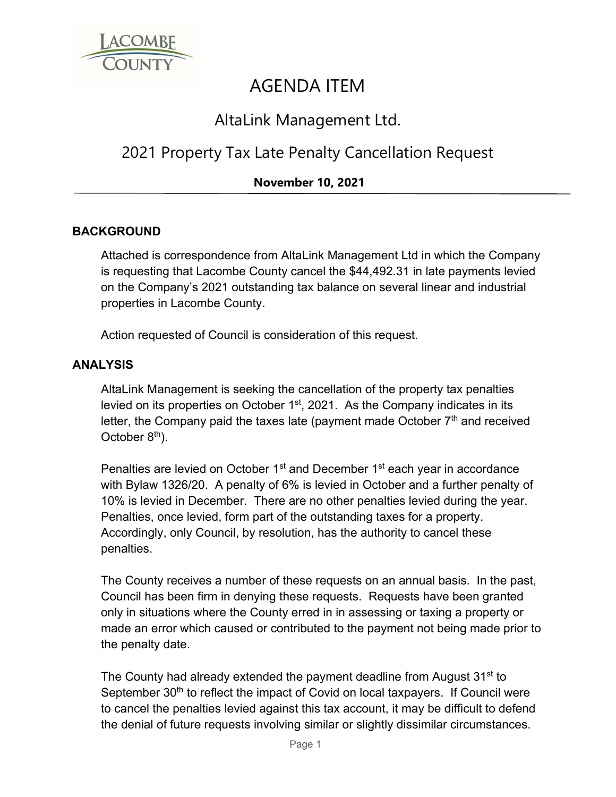

# AGENDA ITEM

### AltaLink Management Ltd.

## 2021 Property Tax Late Penalty Cancellation Request

### **November 10, 2021**

#### **BACKGROUND**

Attached is correspondence from AltaLink Management Ltd in which the Company is requesting that Lacombe County cancel the \$44,492.31 in late payments levied on the Company's 2021 outstanding tax balance on several linear and industrial properties in Lacombe County.

Action requested of Council is consideration of this request.

#### **ANALYSIS**

AltaLink Management is seeking the cancellation of the property tax penalties levied on its properties on October 1st, 2021. As the Company indicates in its letter, the Company paid the taxes late (payment made October  $7<sup>th</sup>$  and received October  $8<sup>th</sup>$ ).

Penalties are levied on October 1<sup>st</sup> and December 1<sup>st</sup> each year in accordance with Bylaw 1326/20. A penalty of 6% is levied in October and a further penalty of 10% is levied in December. There are no other penalties levied during the year. Penalties, once levied, form part of the outstanding taxes for a property. Accordingly, only Council, by resolution, has the authority to cancel these penalties.

The County receives a number of these requests on an annual basis. In the past, Council has been firm in denying these requests. Requests have been granted only in situations where the County erred in in assessing or taxing a property or made an error which caused or contributed to the payment not being made prior to the penalty date.

The County had already extended the payment deadline from August 31<sup>st</sup> to September 30<sup>th</sup> to reflect the impact of Covid on local taxpayers. If Council were to cancel the penalties levied against this tax account, it may be difficult to defend the denial of future requests involving similar or slightly dissimilar circumstances.